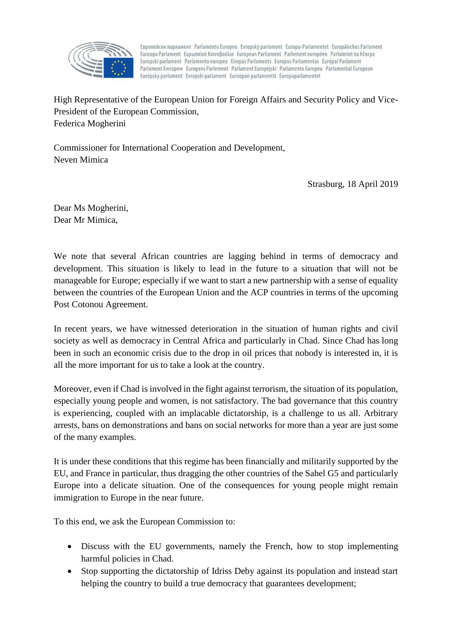

Европейски парламент Parlamento Europeo Evropský parlament Europa-Parlamentet Europäisches Parlament Euroopa Parlament Ευρωπαϊκό Κοινοβούλιο European Parliament Parlement européen Parlaimint na hEorpa Europski parlament Parlamento europeo Eiropas Parlaments Europos Parlamentas Európai Parlament Parlament Ewropew Europees Parlement Parlament Europejski Parlamento Europeu Parlamentul European Európsky parlament Evropski parlament Euroopan parlamentti Europaparlamentet

High Representative of the European Union for Foreign Affairs and Security Policy and Vice-President of the European Commission, Federica Mogherini

Commissioner for International Cooperation and Development, Neven Mimica

Strasburg, 18 April 2019

Dear Ms Mogherini, Dear Mr Mimica,

We note that several African countries are lagging behind in terms of democracy and development. This situation is likely to lead in the future to a situation that will not be manageable for Europe; especially if we want to start a new partnership with a sense of equality between the countries of the European Union and the ACP countries in terms of the upcoming Post Cotonou Agreement.

In recent years, we have witnessed deterioration in the situation of human rights and civil society as well as democracy in Central Africa and particularly in Chad. Since Chad has long been in such an economic crisis due to the drop in oil prices that nobody is interested in, it is all the more important for us to take a look at the country.

Moreover, even if Chad is involved in the fight against terrorism, the situation of its population, especially young people and women, is not satisfactory. The bad governance that this country is experiencing, coupled with an implacable dictatorship, is a challenge to us all. Arbitrary arrests, bans on demonstrations and bans on social networks for more than a year are just some of the many examples.

It is under these conditions that this regime has been financially and militarily supported by the EU, and France in particular, thus dragging the other countries of the Sahel G5 and particularly Europe into a delicate situation. One of the consequences for young people might remain immigration to Europe in the near future.

To this end, we ask the European Commission to:

- Discuss with the EU governments, namely the French, how to stop implementing harmful policies in Chad.
- Stop supporting the dictatorship of Idriss Deby against its population and instead start helping the country to build a true democracy that guarantees development;